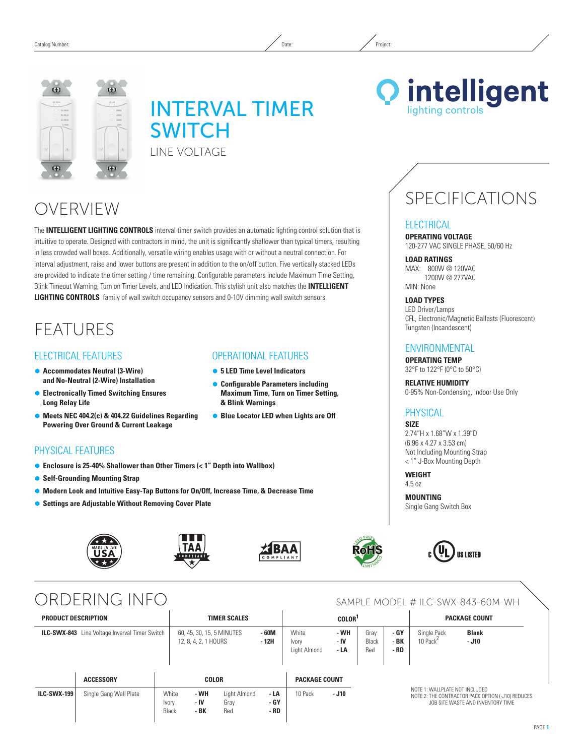

# INTERVAL TIMER **SWITCH** Line Voltage

# OVERVIEW

The **INTELLIGENT LIGHTING CONTROLS** interval timer switch provides an automatic lighting control solution that is intuitive to operate. Designed with contractors in mind, the unit is significantly shallower than typical timers, resulting in less crowded wall boxes. Additionally, versatile wiring enables usage with or without a neutral connection. For interval adjustment, raise and lower buttons are present in addition to the on/off button. Five vertically stacked LEDs are provided to indicate the timer setting / time remaining. Configurable parameters include Maximum Time Setting, Blink Timeout Warning, Turn on Timer Levels, and LED Indication. This stylish unit also matches the **INTELLIGENT LIGHTING CONTROLS** family of wall switch occupancy sensors and 0-10V dimming wall switch sensors.

## **FFATURES**

### FLECTRICAL FEATURES

- Ã **Accommodates Neutral (3-Wire) and No-Neutral (2-Wire) Installation**
- Ã **Electronically Timed Switching Ensures Long Relay Life**
- Ã **Meets NEC 404.2(c) & 404.22 Guidelines Regarding Powering Over Ground & Current Leakage**

## Physical Features

- Enclosure is 25-40% Shallower than Other Timers (< 1<sup>"</sup> Depth into Wallbox)
- **Self-Grounding Mounting Strap**
- Ã **Modern Look and Intuitive Easy-Tap Buttons for On/Off, Increase Time, & Decrease Time**
- **Settings are Adjustable Without Removing Cover Plate**







Operational Features ● 5 LED Time Level Indicators Ã **Configurable Parameters including Maximum Time, Turn on Timer Setting,** 

**• Blue Locator LED when Lights are Off** 

**& Blink Warnings**



### **Operating Voltage** 120-277 VAC SINGLE PHASE, 50/60 Hz **Load ratings**

SPECIFICATIONS

**Q** intelligent

lighting controls

MAX: 800W @ 120VAC 1200W @ 277VAC MIN: None

**ELECTRICAL** 

**Load Types** LED Driver/Lamps CFL, Electronic/Magnetic Ballasts (Fluorescent) Tungsten (Incandescent)

### **ENVIRONMENTAL**

**Operating Temp** 32°F to 122°F (0°C to 50°C)

**Relative Humidity** 0-95% Non-Condensing, Indoor Use Only

### **PHYSICAL**

### **Size**

2.74"H x 1.68"W x 1.39"D (6.96 x 4.27 x 3.53 cm) Not Including Mounting Strap < 1" J-Box Mounting Depth

**Weight**  4.5 oz

**Mounting** Single Gang Switch Box

**US LISTED** 



## ORDERING INFO SAMPLE MODEL # ILC-SWX-843-60M-WH

| <b>PRODUCT DESCRIPTION</b> |                                                       |                         | <b>TIMER SCALES</b>                               |                             |                      | COLOR <sup>1</sup>             |                      |                      |                                                                                                                          | <b>PACKAGE COUNT</b>                |                         |
|----------------------------|-------------------------------------------------------|-------------------------|---------------------------------------------------|-----------------------------|----------------------|--------------------------------|----------------------|----------------------|--------------------------------------------------------------------------------------------------------------------------|-------------------------------------|-------------------------|
|                            | <b>ILC-SWX-843</b> Line Voltage Inverval Timer Switch |                         | 60, 45, 30, 15, 5 MINUTES<br>12, 8, 4, 2, 1 HOURS |                             | $-60M$<br>- 12H      | White<br>Ivory<br>Light Almond | - WH<br>- IV<br>- LA | Grav<br>Black<br>Red | - GY<br>- BK<br>- RD                                                                                                     | Single Pack<br>10 Pack <sup>2</sup> | <b>Blank</b><br>$- J10$ |
|                            | <b>ACCESSORY</b>                                      |                         | <b>COLOR</b>                                      |                             |                      | <b>PACKAGE COUNT</b>           |                      |                      |                                                                                                                          |                                     |                         |
| <b>ILC-SWX-199</b>         | Single Gang Wall Plate                                | White<br>Ivory<br>Black | - WH<br>- IV<br>- BK                              | Light Almond<br>Grav<br>Red | - LA<br>- GY<br>- RD | 10 Pack                        | $- J10$              |                      | NOTE 1: WALLPLATE NOT INCLUDED<br>NOTE 2: THE CONTRACTOR PACK OPTION (-J10) REDUCES<br>JOB SITE WASTE AND INVENTORY TIME |                                     |                         |